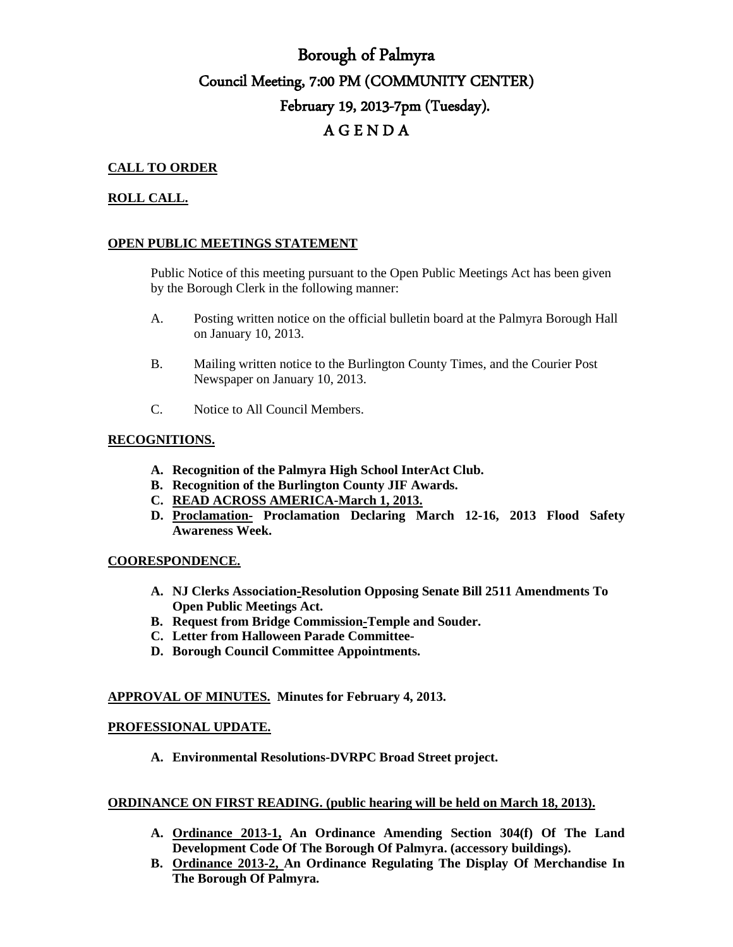# Borough of Palmyra Council Meeting, 7:00 PM (COMMUNITY CENTER) February 19, 2013-7pm (Tuesday). A G E N D A

## **CALL TO ORDER**

## **ROLL CALL.**

### **OPEN PUBLIC MEETINGS STATEMENT**

Public Notice of this meeting pursuant to the Open Public Meetings Act has been given by the Borough Clerk in the following manner:

- A. Posting written notice on the official bulletin board at the Palmyra Borough Hall on January 10, 2013.
- B. Mailing written notice to the Burlington County Times, and the Courier Post Newspaper on January 10, 2013.
- C. Notice to All Council Members.

#### **RECOGNITIONS.**

- **A. Recognition of the Palmyra High School InterAct Club.**
- **B. Recognition of the Burlington County JIF Awards.**
- **C. READ ACROSS AMERICA-March 1, 2013.**
- **D. Proclamation- Proclamation Declaring March 12-16, 2013 Flood Safety Awareness Week.**

#### **COORESPONDENCE.**

- **A. NJ Clerks Association-Resolution Opposing Senate Bill 2511 Amendments To Open Public Meetings Act.**
- **B. Request from Bridge Commission-Temple and Souder.**
- **C. Letter from Halloween Parade Committee-**
- **D. Borough Council Committee Appointments.**

#### **APPROVAL OF MINUTES. Minutes for February 4, 2013.**

#### **PROFESSIONAL UPDATE.**

**A. Environmental Resolutions-DVRPC Broad Street project.**

#### **ORDINANCE ON FIRST READING. (public hearing will be held on March 18, 2013).**

- **A. Ordinance 2013-1, An Ordinance Amending Section 304(f) Of The Land Development Code Of The Borough Of Palmyra. (accessory buildings).**
- **B. Ordinance 2013-2, An Ordinance Regulating The Display Of Merchandise In The Borough Of Palmyra.**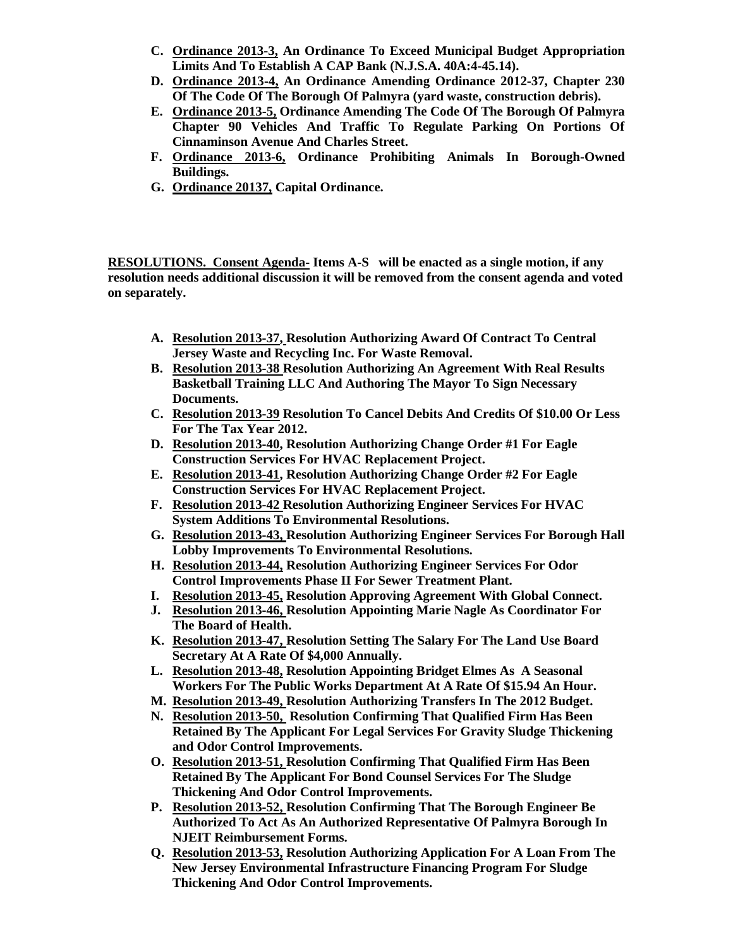- **C. Ordinance 2013-3, An Ordinance To Exceed Municipal Budget Appropriation Limits And To Establish A CAP Bank (N.J.S.A. 40A:4-45.14).**
- **D. Ordinance 2013-4, An Ordinance Amending Ordinance 2012-37, Chapter 230 Of The Code Of The Borough Of Palmyra (yard waste, construction debris).**
- **E. Ordinance 2013-5, Ordinance Amending The Code Of The Borough Of Palmyra Chapter 90 Vehicles And Traffic To Regulate Parking On Portions Of Cinnaminson Avenue And Charles Street.**
- **F. Ordinance 2013-6, Ordinance Prohibiting Animals In Borough-Owned Buildings.**
- **G. Ordinance 20137, Capital Ordinance.**

**RESOLUTIONS. Consent Agenda- Items A-S will be enacted as a single motion, if any resolution needs additional discussion it will be removed from the consent agenda and voted on separately.**

- **A. Resolution 2013-37, Resolution Authorizing Award Of Contract To Central Jersey Waste and Recycling Inc. For Waste Removal.**
- **B. Resolution 2013-38 Resolution Authorizing An Agreement With Real Results Basketball Training LLC And Authoring The Mayor To Sign Necessary Documents.**
- **C. Resolution 2013-39 Resolution To Cancel Debits And Credits Of \$10.00 Or Less For The Tax Year 2012.**
- **D. Resolution 2013-40, Resolution Authorizing Change Order #1 For Eagle Construction Services For HVAC Replacement Project.**
- **E. Resolution 2013-41, Resolution Authorizing Change Order #2 For Eagle Construction Services For HVAC Replacement Project.**
- **F. Resolution 2013-42 Resolution Authorizing Engineer Services For HVAC System Additions To Environmental Resolutions.**
- **G. Resolution 2013-43, Resolution Authorizing Engineer Services For Borough Hall Lobby Improvements To Environmental Resolutions.**
- **H. Resolution 2013-44, Resolution Authorizing Engineer Services For Odor Control Improvements Phase II For Sewer Treatment Plant.**
- **I. Resolution 2013-45, Resolution Approving Agreement With Global Connect.**
- **J. Resolution 2013-46, Resolution Appointing Marie Nagle As Coordinator For The Board of Health.**
- **K. Resolution 2013-47, Resolution Setting The Salary For The Land Use Board Secretary At A Rate Of \$4,000 Annually.**
- **L. Resolution 2013-48, Resolution Appointing Bridget Elmes As A Seasonal Workers For The Public Works Department At A Rate Of \$15.94 An Hour.**
- **M. Resolution 2013-49, Resolution Authorizing Transfers In The 2012 Budget.**
- **N. Resolution 2013-50, Resolution Confirming That Qualified Firm Has Been Retained By The Applicant For Legal Services For Gravity Sludge Thickening and Odor Control Improvements.**
- **O. Resolution 2013-51, Resolution Confirming That Qualified Firm Has Been Retained By The Applicant For Bond Counsel Services For The Sludge Thickening And Odor Control Improvements.**
- **P. Resolution 2013-52, Resolution Confirming That The Borough Engineer Be Authorized To Act As An Authorized Representative Of Palmyra Borough In NJEIT Reimbursement Forms.**
- **Q. Resolution 2013-53, Resolution Authorizing Application For A Loan From The New Jersey Environmental Infrastructure Financing Program For Sludge Thickening And Odor Control Improvements.**